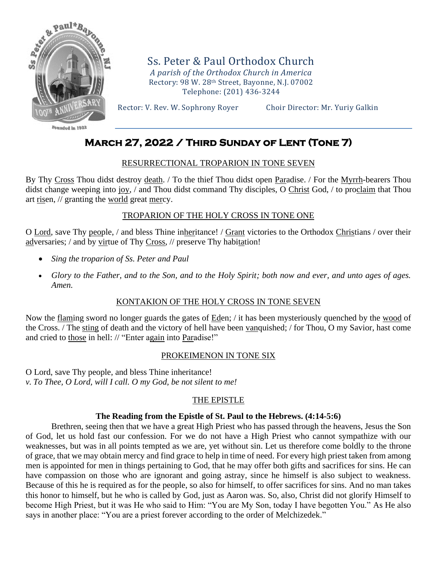

Founded in 1922

Ss. Peter & Paul Orthodox Church *A parish of the Orthodox Church in America* Rectory: 98 W. 28th Street, Bayonne, N.J. 07002 Telephone: (201) 436-3244

Rector: V. Rev. W. Sophrony Royer Choir Director: Mr. Yuriy Galkin

# **March 27, 2022 / Third Sunday of Lent (Tone 7)**

## RESURRECTIONAL TROPARION IN TONE SEVEN

By Thy Cross Thou didst destroy death. / To the thief Thou didst open Paradise. / For the Myrrh-bearers Thou didst change weeping into joy, / and Thou didst command Thy disciples, O Christ God, / to proclaim that Thou art risen, // granting the world great mercy.

# TROPARION OF THE HOLY CROSS IN TONE ONE

O Lord, save Thy people, / and bless Thine inheritance! / Grant victories to the Orthodox Christians / over their adversaries; / and by virtue of Thy Cross, // preserve Thy habitation!

- *Sing the troparion of Ss. Peter and Paul*
- *Glory to the Father, and to the Son, and to the Holy Spirit; both now and ever, and unto ages of ages. Amen.*

# KONTAKION OF THE HOLY CROSS IN TONE SEVEN

Now the flaming sword no longer guards the gates of Eden; / it has been mysteriously quenched by the wood of the Cross. / The sting of death and the victory of hell have been vanquished; / for Thou, O my Savior, hast come and cried to those in hell: // "Enter again into Paradise!"

#### PROKEIMENON IN TONE SIX

O Lord, save Thy people, and bless Thine inheritance! *v. To Thee, O Lord, will I call. O my God, be not silent to me!*

# THE EPISTLE

#### **The Reading from the Epistle of St. Paul to the Hebrews. (4:14-5:6)**

Brethren, seeing then that we have a great High Priest who has passed through the heavens, Jesus the Son of God, let us hold fast our confession. For we do not have a High Priest who cannot sympathize with our weaknesses, but was in all points tempted as we are, yet without sin. Let us therefore come boldly to the throne of grace, that we may obtain mercy and find grace to help in time of need. For every high priest taken from among men is appointed for men in things pertaining to God, that he may offer both gifts and sacrifices for sins. He can have compassion on those who are ignorant and going astray, since he himself is also subject to weakness. Because of this he is required as for the people, so also for himself, to offer sacrifices for sins. And no man takes this honor to himself, but he who is called by God, just as Aaron was. So, also, Christ did not glorify Himself to become High Priest, but it was He who said to Him: "You are My Son, today I have begotten You." As He also says in another place: "You are a priest forever according to the order of Melchizedek."